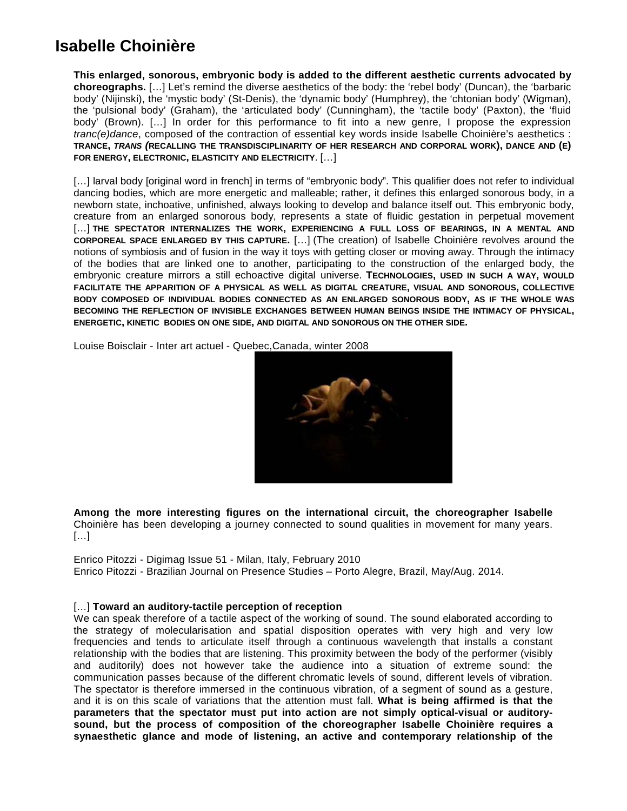# **Isabelle Choinière**

**This enlarged, sonorous, embryonic body is added to the different aesthetic currents advocated by choreographs.** […] Let's remind the diverse aesthetics of the body: the 'rebel body' (Duncan), the 'barbaric body' (Nijinski), the 'mystic body' (St-Denis), the 'dynamic body' (Humphrey), the 'chtonian body' (Wigman), the 'pulsional body' (Graham), the 'articulated body' (Cunningham), the 'tactile body' (Paxton), the 'fluid body' (Brown). […] In order for this performance to fit into a new genre, I propose the expression *tranc(e)dance*, composed of the contraction of essential key words inside Isabelle Choinière's aesthetics : **TRANCE,** *TRANS (***RECALLING THE TRANSDISCIPLINARITY OF HER RESEARCH AND CORPORAL WORK), DANCE AND (E) FOR ENERGY, ELECTRONIC, ELASTICITY AND ELECTRICITY**. […]

[...] larval body [original word in french] in terms of "embryonic body". This qualifier does not refer to individual dancing bodies, which are more energetic and malleable; rather, it defines this enlarged sonorous body, in a newborn state, inchoative, unfinished, always looking to develop and balance itself out. This embryonic body, creature from an enlarged sonorous body, represents a state of fluidic gestation in perpetual movement […] **THE SPECTATOR INTERNALIZES THE WORK, EXPERIENCING A FULL LOSS OF BEARINGS, IN A MENTAL AND CORPOREAL SPACE ENLARGED BY THIS CAPTURE.** […] (The creation) of Isabelle Choinière revolves around the notions of symbiosis and of fusion in the way it toys with getting closer or moving away. Through the intimacy of the bodies that are linked one to another, participating to the construction of the enlarged body, the embryonic creature mirrors a still echoactive digital universe. **TECHNOLOGIES, USED IN SUCH A WAY, WOULD FACILITATE THE APPARITION OF A PHYSICAL AS WELL AS DIGITAL CREATURE, VISUAL AND SONOROUS, COLLECTIVE BODY COMPOSED OF INDIVIDUAL BODIES CONNECTED AS AN ENLARGED SONOROUS BODY, AS IF THE WHOLE WAS BECOMING THE REFLECTION OF INVISIBLE EXCHANGES BETWEEN HUMAN BEINGS INSIDE THE INTIMACY OF PHYSICAL, ENERGETIC, KINETIC BODIES ON ONE SIDE, AND DIGITAL AND SONOROUS ON THE OTHER SIDE.**

Louise Boisclair - Inter art actuel - Quebec,Canada, winter 2008



**Among the more interesting figures on the international circuit, the choreographer Isabelle** Choinière has been developing a journey connected to sound qualities in movement for many years. […]

Enrico Pitozzi - Digimag Issue 51 - Milan, Italy, February 2010 Enrico Pitozzi - Brazilian Journal on Presence Studies – Porto Alegre, Brazil, May/Aug. 2014.

### […] **Toward an auditory-tactile perception of reception**

We can speak therefore of a tactile aspect of the working of sound. The sound elaborated according to the strategy of molecularisation and spatial disposition operates with very high and very low frequencies and tends to articulate itself through a continuous wavelength that installs a constant relationship with the bodies that are listening. This proximity between the body of the performer (visibly and auditorily) does not however take the audience into a situation of extreme sound: the communication passes because of the different chromatic levels of sound, different levels of vibration. The spectator is therefore immersed in the continuous vibration, of a segment of sound as a gesture, and it is on this scale of variations that the attention must fall. **What is being affirmed is that the parameters that the spectator must put into action are not simply optical-visual or auditorysound, but the process of composition of the choreographer Isabelle Choinière requires a synaesthetic glance and mode of listening, an active and contemporary relationship of the**